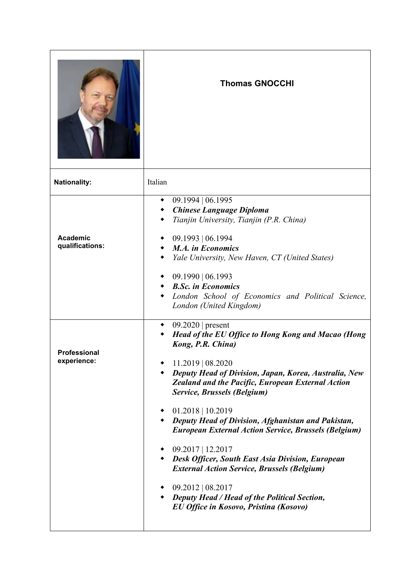|                                    | <b>Thomas GNOCCHI</b>                                                                                                                                                                                                                                                                                                                                                                                                                                                                                                                                                                                                                                                               |
|------------------------------------|-------------------------------------------------------------------------------------------------------------------------------------------------------------------------------------------------------------------------------------------------------------------------------------------------------------------------------------------------------------------------------------------------------------------------------------------------------------------------------------------------------------------------------------------------------------------------------------------------------------------------------------------------------------------------------------|
| <b>Nationality:</b>                | Italian                                                                                                                                                                                                                                                                                                                                                                                                                                                                                                                                                                                                                                                                             |
| <b>Academic</b><br>qualifications: | $09.1994 \mid 06.1995$<br><b>Chinese Language Diploma</b><br>Tianjin University, Tianjin (P.R. China)<br>09.1993   06.1994<br><b>M.A.</b> in Economics<br>Yale University, New Haven, CT (United States)<br>09.1990   06.1993<br>◆ B.Sc. in Economics<br>London School of Economics and Political Science,<br>London (United Kingdom)                                                                                                                                                                                                                                                                                                                                               |
| <b>Professional</b><br>experience: | $09.2020$   present<br><b>Head of the EU Office to Hong Kong and Macao (Hong</b><br>Kong, P.R. China)<br>11.2019   08.2020<br>Deputy Head of Division, Japan, Korea, Australia, New<br>Zealand and the Pacific, European External Action<br>Service, Brussels (Belgium)<br>$01.2018$   10.2019<br>• Deputy Head of Division, Afghanistan and Pakistan,<br><b>European External Action Service, Brussels (Belgium)</b><br>$09.2017$   12.2017<br><b>Desk Officer, South East Asia Division, European</b><br><b>External Action Service, Brussels (Belgium)</b><br>$09.2012 \mid 08.2017$<br>• Deputy Head / Head of the Political Section,<br>EU Office in Kosovo, Pristina (Kosovo) |